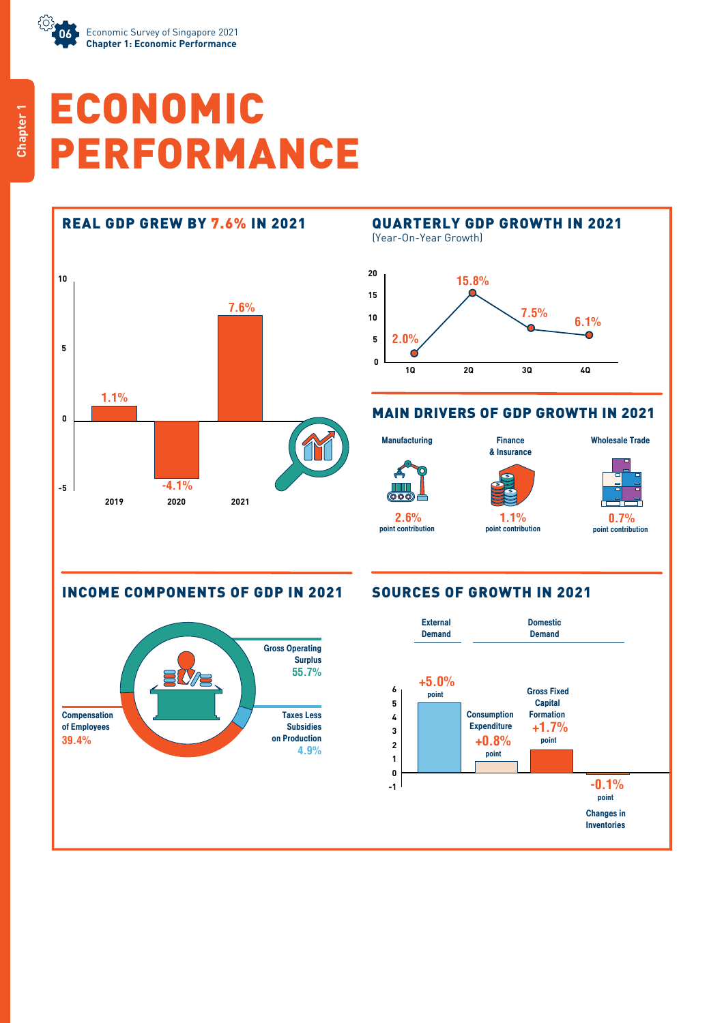

# ECONOMIC PERFORMANCE



### REAL GDP GREW BY 7.6% IN 2021 QUARTERLY GDP GROWTH IN 2021 (Year-On-Year Growth) **20 15.8% 15 7.5% 6.1% 10 2.0% 5** C **0 1Q 2Q 3Q 4Q**

### MAIN DRIVERS OF GDP GROWTH IN 2021

**Manufacturing** 

**2.6%** point contribution

Finance & Insurance

**1.1%** point contribution



Wholesale Trade

point contribution

INCOME COMPONENTS OF GDP IN 2021 SOURCES OF GROWTH IN 2021



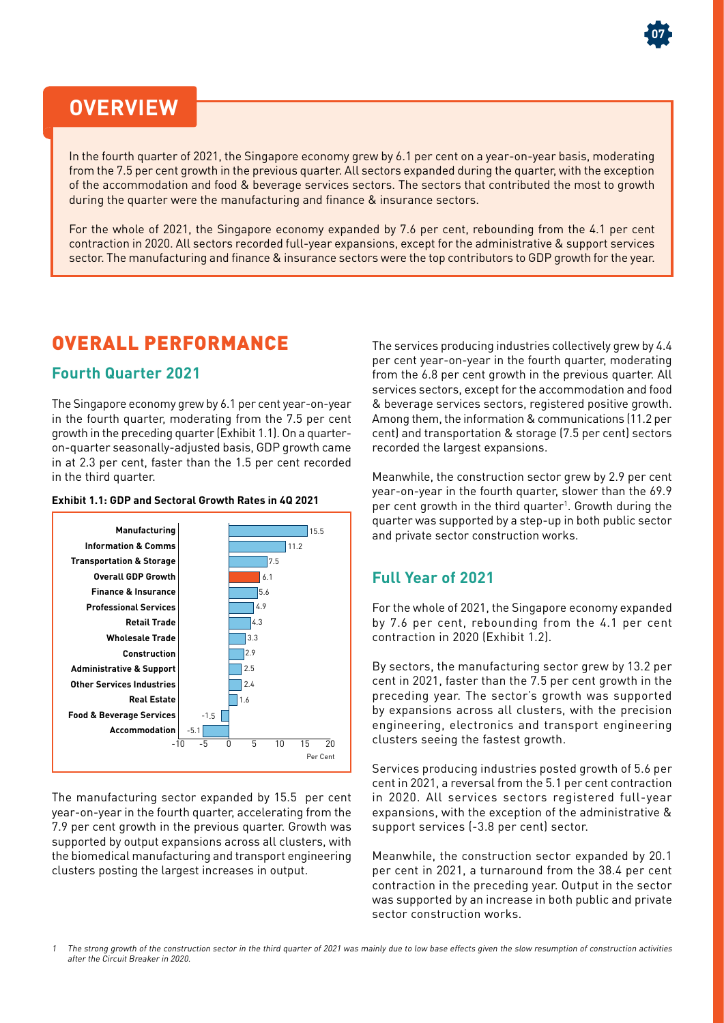

## **OVERVIEW**

In the fourth quarter of 2021, the Singapore economy grew by 6.1 per cent on a year-on-year basis, moderating from the 7.5 per cent growth in the previous quarter. All sectors expanded during the quarter, with the exception of the accommodation and food & beverage services sectors. The sectors that contributed the most to growth during the quarter were the manufacturing and finance & insurance sectors.

For the whole of 2021, the Singapore economy expanded by 7.6 per cent, rebounding from the 4.1 per cent contraction in 2020. All sectors recorded full-year expansions, except for the administrative & support services sector. The manufacturing and finance & insurance sectors were the top contributors to GDP growth for the year.

## OVERALL PERFORMANCE

### **Fourth Quarter 2021**

The Singapore economy grew by 6.1 per cent year-on-year in the fourth quarter, moderating from the 7.5 per cent growth in the preceding quarter (Exhibit 1.1). On a quarteron-quarter seasonally-adjusted basis, GDP growth came in at 2.3 per cent, faster than the 1.5 per cent recorded in the third quarter.

#### **Exhibit 1.1: GDP and Sectoral Growth Rates in 4Q 2021**



The manufacturing sector expanded by 15.5 per cent year-on-year in the fourth quarter, accelerating from the 7.9 per cent growth in the previous quarter. Growth was supported by output expansions across all clusters, with the biomedical manufacturing and transport engineering clusters posting the largest increases in output.

The services producing industries collectively grew by 4.4 per cent year-on-year in the fourth quarter, moderating from the 6.8 per cent growth in the previous quarter. All services sectors, except for the accommodation and food & beverage services sectors, registered positive growth. Among them, the information & communications (11.2 per cent) and transportation & storage (7.5 per cent) sectors recorded the largest expansions.

Meanwhile, the construction sector grew by 2.9 per cent year-on-year in the fourth quarter, slower than the 69.9 per cent growth in the third quarter<sup>1</sup>. Growth during the quarter was supported by a step-up in both public sector and private sector construction works.

### **Full Year of 2021**

For the whole of 2021, the Singapore economy expanded by 7.6 per cent, rebounding from the 4.1 per cent contraction in 2020 (Exhibit 1.2).

By sectors, the manufacturing sector grew by 13.2 per cent in 2021, faster than the 7.5 per cent growth in the preceding year. The sector's growth was supported by expansions across all clusters, with the precision engineering, electronics and transport engineering clusters seeing the fastest growth.

Services producing industries posted growth of 5.6 per cent in 2021, a reversal from the 5.1 per cent contraction in 2020. All services sectors registered full-year expansions, with the exception of the administrative & support services (-3.8 per cent) sector.

Meanwhile, the construction sector expanded by 20.1 per cent in 2021, a turnaround from the 38.4 per cent contraction in the preceding year. Output in the sector was supported by an increase in both public and private sector construction works.

1 The strong growth of the construction sector in the third quarter of 2021 was mainly due to low base effects given the slow resumption of construction activities after the Circuit Breaker in 2020.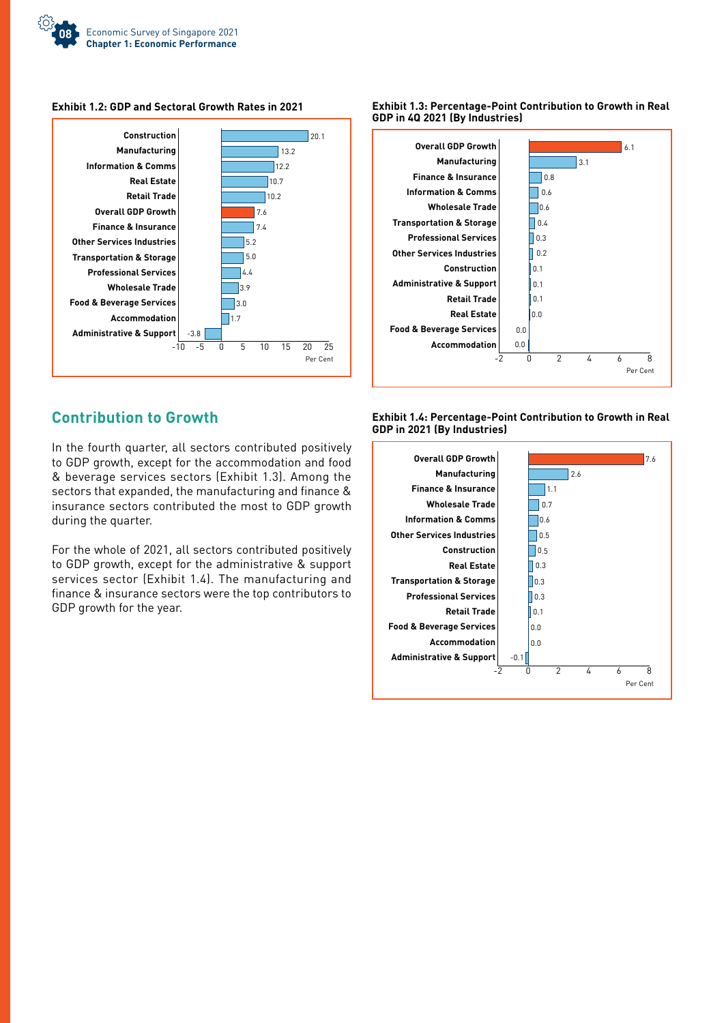

#### **Exhibit 1.2: GDP and Sectoral Growth Rates in 2021**



### **Exhibit 1.3: Percentage-Point Contribution to Growth in Real GDP in 4Q 2021 (By Industries)**



### **Contribution to Growth**

In the fourth quarter, all sectors contributed positively to GDP growth, except for the accommodation and food & beverage services sectors (Exhibit 1.3). Among the sectors that expanded, the manufacturing and finance & insurance sectors contributed the most to GDP growth during the quarter.

For the whole of 2021, all sectors contributed positively to GDP growth, except for the administrative & support services sector (Exhibit 1.4). The manufacturing and finance & insurance sectors were the top contributors to GDP growth for the year.

**Exhibit 1.4: Percentage-Point Contribution to Growth in Real GDP in 2021 (By Industries)**

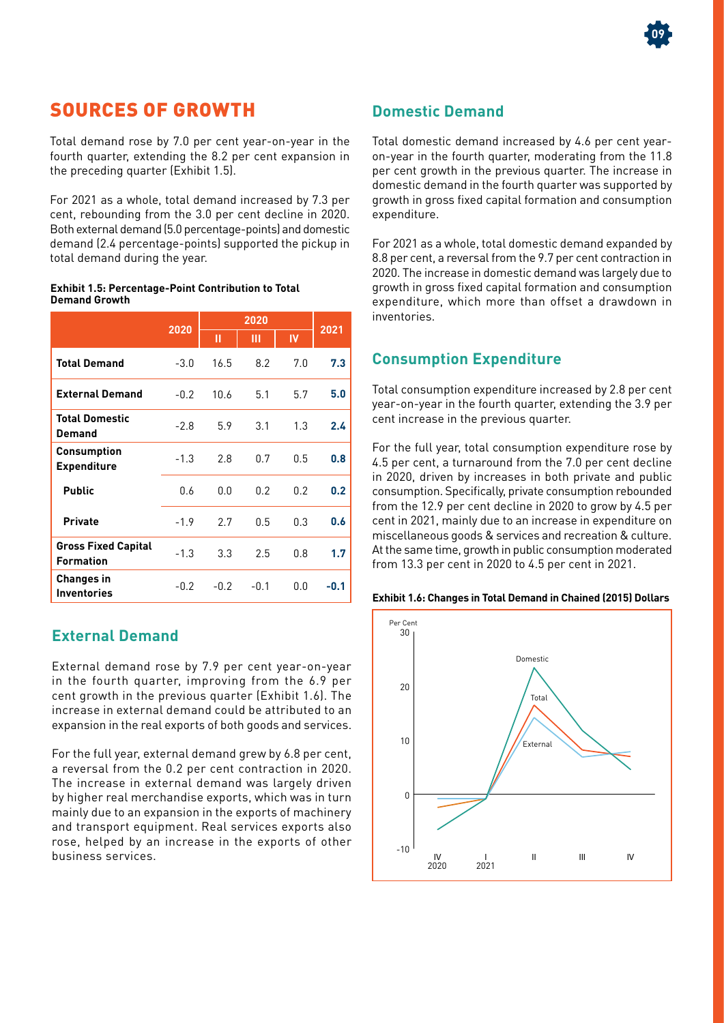### SOURCES OF GROWTH

Total demand rose by 7.0 per cent year-on-year in the fourth quarter, extending the 8.2 per cent expansion in the preceding quarter (Exhibit 1.5).

For 2021 as a whole, total demand increased by 7.3 per cent, rebounding from the 3.0 per cent decline in 2020. Both external demand (5.0 percentage-points) and domestic demand (2.4 percentage-points) supported the pickup in total demand during the year.

#### **Exhibit 1.5: Percentage-Point Contribution to Total Demand Growth**

|                                                | 2020   | 2020   |        |     | 2021 |
|------------------------------------------------|--------|--------|--------|-----|------|
|                                                |        | П      | Ш      | IV  |      |
| <b>Total Demand</b>                            | $-3.0$ | 16.5   | 8.2    | 7.0 | 7.3  |
| <b>External Demand</b>                         | $-0.2$ | 10.6   | 5.1    | 5.7 | 5.0  |
| <b>Total Domestic</b><br>Demand                | $-2.8$ | 5.9    | 3.1    | 1.3 | 2.4  |
| Consumption<br><b>Expenditure</b>              | $-1.3$ | 2.8    | 0.7    | 0.5 | 0.8  |
| <b>Public</b>                                  | 0.6    | 0.0    | 0.2    | 0.2 | 0.2  |
| <b>Private</b>                                 | $-1.9$ | 2.7    | 0.5    | 0.3 | 0.6  |
| <b>Gross Fixed Capital</b><br><b>Formation</b> | $-1.3$ | 3.3    | 2.5    | 0.8 | 1.7  |
| Changes in<br><b>Inventories</b>               | $-0.2$ | $-0.2$ | $-0.1$ | 0.0 | -0.1 |

### **External Demand**

External demand rose by 7.9 per cent year-on-year in the fourth quarter, improving from the 6.9 per cent growth in the previous quarter (Exhibit 1.6). The increase in external demand could be attributed to an expansion in the real exports of both goods and services.

For the full year, external demand grew by 6.8 per cent, a reversal from the 0.2 per cent contraction in 2020. The increase in external demand was largely driven by higher real merchandise exports, which was in turn mainly due to an expansion in the exports of machinery and transport equipment. Real services exports also rose, helped by an increase in the exports of other business services.

### **Domestic Demand**

Total domestic demand increased by 4.6 per cent yearon-year in the fourth quarter, moderating from the 11.8 per cent growth in the previous quarter. The increase in domestic demand in the fourth quarter was supported by growth in gross fixed capital formation and consumption expenditure.

For 2021 as a whole, total domestic demand expanded by 8.8 per cent, a reversal from the 9.7 per cent contraction in 2020. The increase in domestic demand was largely due to growth in gross fixed capital formation and consumption expenditure, which more than offset a drawdown in inventories.

### **Consumption Expenditure**

Total consumption expenditure increased by 2.8 per cent year-on-year in the fourth quarter, extending the 3.9 per cent increase in the previous quarter.

For the full year, total consumption expenditure rose by 4.5 per cent, a turnaround from the 7.0 per cent decline in 2020, driven by increases in both private and public consumption. Specifically, private consumption rebounded from the 12.9 per cent decline in 2020 to grow by 4.5 per cent in 2021, mainly due to an increase in expenditure on miscellaneous goods & services and recreation & culture. At the same time, growth in public consumption moderated from 13.3 per cent in 2020 to 4.5 per cent in 2021.





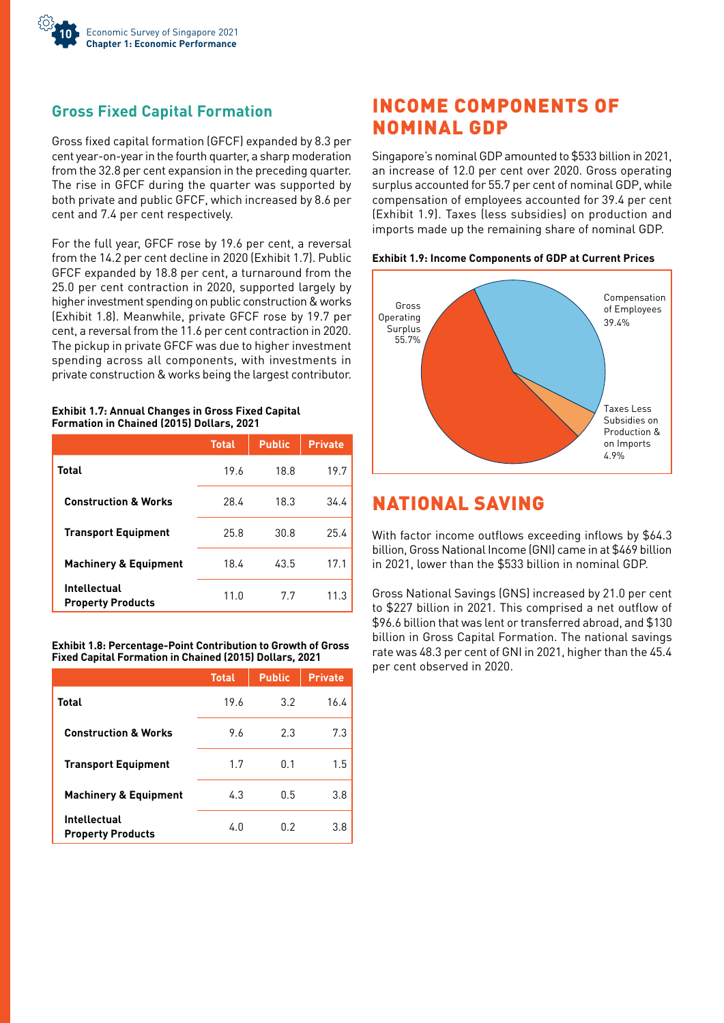

### **Gross Fixed Capital Formation**

Gross fixed capital formation (GFCF) expanded by 8.3 per cent year-on-year in the fourth quarter, a sharp moderation from the 32.8 per cent expansion in the preceding quarter. The rise in GFCF during the quarter was supported by both private and public GFCF, which increased by 8.6 per cent and 7.4 per cent respectively.

For the full year, GFCF rose by 19.6 per cent, a reversal from the 14.2 per cent decline in 2020 (Exhibit 1.7). Public GFCF expanded by 18.8 per cent, a turnaround from the 25.0 per cent contraction in 2020, supported largely by higher investment spending on public construction & works (Exhibit 1.8). Meanwhile, private GFCF rose by 19.7 per cent, a reversal from the 11.6 per cent contraction in 2020. The pickup in private GFCF was due to higher investment spending across all components, with investments in private construction & works being the largest contributor.

#### **Exhibit 1.7: Annual Changes in Gross Fixed Capital Formation in Chained (2015) Dollars, 2021**

|                                                 | <b>Total</b> | <b>Public</b> | <b>Private</b> |
|-------------------------------------------------|--------------|---------------|----------------|
| Total                                           | 19.6         | 18.8          | 19.7           |
| <b>Construction &amp; Works</b>                 | 28.4         | 18.3          | 34.4           |
| <b>Transport Equipment</b>                      | 25.8         | 30.8          | 25.4           |
| <b>Machinery &amp; Equipment</b>                | 18.4         | 43.5          | 17.1           |
| <b>Intellectual</b><br><b>Property Products</b> | 11.0         | 7.7           | 11.3           |

#### **Exhibit 1.8: Percentage-Point Contribution to Growth of Gross Fixed Capital Formation in Chained (2015) Dollars, 2021**

|                                                 | <b>Total</b> | <b>Public</b> | <b>Private</b> |
|-------------------------------------------------|--------------|---------------|----------------|
| Total                                           | 19.6         | 3.2           | 16.4           |
| <b>Construction &amp; Works</b>                 | 9.6          | 2.3           | 7.3            |
| <b>Transport Equipment</b>                      | 1.7          | 0.1           | 1.5            |
| <b>Machinery &amp; Equipment</b>                | 4.3          | 0.5           | 3.8            |
| <b>Intellectual</b><br><b>Property Products</b> | 4.0          | 0.2           | 3.8            |

### INCOME COMPONENTS OF NOMINAL GDP

Singapore's nominal GDP amounted to \$533 billion in 2021, an increase of 12.0 per cent over 2020. Gross operating surplus accounted for 55.7 per cent of nominal GDP, while compensation of employees accounted for 39.4 per cent (Exhibit 1.9). Taxes (less subsidies) on production and imports made up the remaining share of nominal GDP.





### NATIONAL SAVING

With factor income outflows exceeding inflows by \$64.3 billion, Gross National Income (GNI) came in at \$469 billion in 2021, lower than the \$533 billion in nominal GDP.

Gross National Savings (GNS) increased by 21.0 per cent to \$227 billion in 2021. This comprised a net outflow of \$96.6 billion that was lent or transferred abroad, and \$130 billion in Gross Capital Formation. The national savings rate was 48.3 per cent of GNI in 2021, higher than the 45.4 per cent observed in 2020.